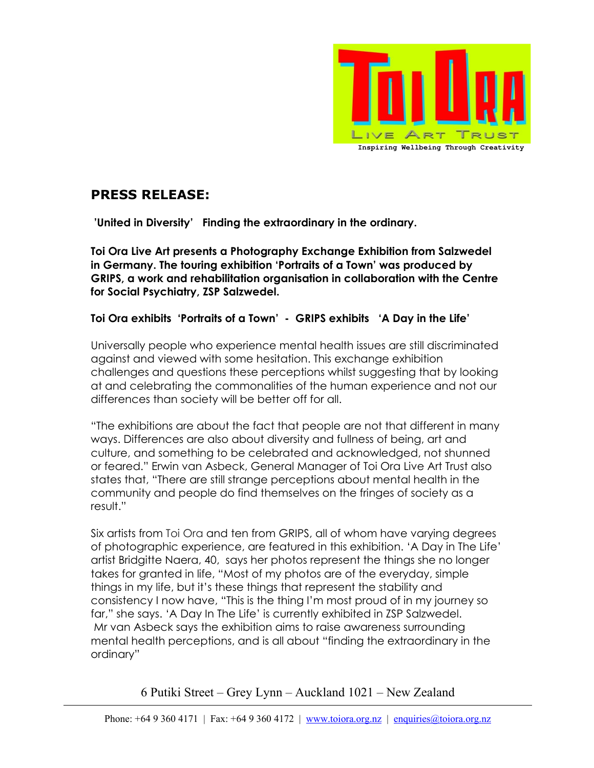

# PRESS RELEASE:

'United in Diversity' Finding the extraordinary in the ordinary.

Toi Ora Live Art presents a Photography Exchange Exhibition from Salzwedel in Germany. The touring exhibition 'Portraits of a Town' was produced by GRIPS, a work and rehabilitation organisation in collaboration with the Centre for Social Psychiatry, ZSP Salzwedel.

### Toi Ora exhibits 'Portraits of a Town' - GRIPS exhibits 'A Day in the Life'

Universally people who experience mental health issues are still discriminated against and viewed with some hesitation. This exchange exhibition challenges and questions these perceptions whilst suggesting that by looking at and celebrating the commonalities of the human experience and not our differences than society will be better off for all.

"The exhibitions are about the fact that people are not that different in many ways. Differences are also about diversity and fullness of being, art and culture, and something to be celebrated and acknowledged, not shunned or feared." Erwin van Asbeck, General Manager of Toi Ora Live Art Trust also states that, "There are still strange perceptions about mental health in the community and people do find themselves on the fringes of society as a result."

Six artists from Toi Ora and ten from GRIPS, all of whom have varying degrees of photographic experience, are featured in this exhibition. 'A Day in The Life' artist Bridgitte Naera, 40, says her photos represent the things she no longer takes for granted in life, "Most of my photos are of the everyday, simple things in my life, but it's these things that represent the stability and consistency I now have, "This is the thing I'm most proud of in my journey so far," she says. 'A Day In The Life' is currently exhibited in ZSP Salzwedel. Mr van Asbeck says the exhibition aims to raise awareness surrounding mental health perceptions, and is all about "finding the extraordinary in the ordinary"

6 Putiki Street – Grey Lynn – Auckland 1021 – New Zealand